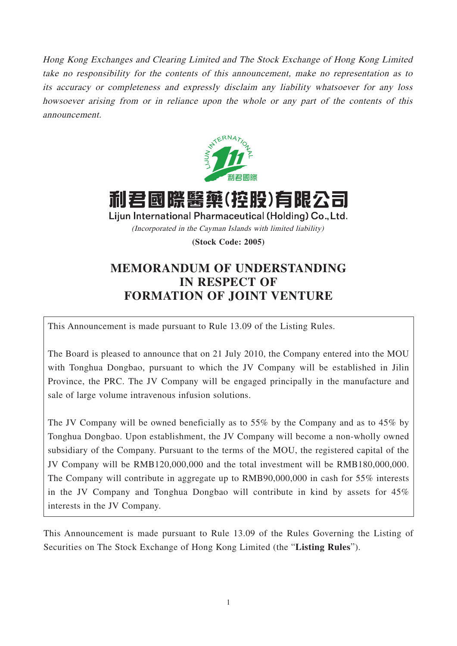Hong Kong Exchanges and Clearing Limited and The Stock Exchange of Hong Kong Limited take no responsibility for the contents of this announcement, make no representation as to its accuracy or completeness and expressly disclaim any liability whatsoever for any loss howsoever arising from or in reliance upon the whole or any part of the contents of this announcement.



利君國際醫藥(控股)有限? Lijun International Pharmaceutical (Holding) Co., Ltd. (Incorporated in the Cayman Islands with limited liability)

**(Stock Code: 2005)**

## **MEMORANDUM OF UNDERSTANDING IN RESPECT OF FORMATION OF JOINT VENTURE**

This Announcement is made pursuant to Rule 13.09 of the Listing Rules.

The Board is pleased to announce that on 21 July 2010, the Company entered into the MOU with Tonghua Dongbao, pursuant to which the JV Company will be established in Jilin Province, the PRC. The JV Company will be engaged principally in the manufacture and sale of large volume intravenous infusion solutions.

The JV Company will be owned beneficially as to 55% by the Company and as to 45% by Tonghua Dongbao. Upon establishment, the JV Company will become a non-wholly owned subsidiary of the Company. Pursuant to the terms of the MOU, the registered capital of the JV Company will be RMB120,000,000 and the total investment will be RMB180,000,000. The Company will contribute in aggregate up to RMB90,000,000 in cash for 55% interests in the JV Company and Tonghua Dongbao will contribute in kind by assets for 45% interests in the JV Company.

This Announcement is made pursuant to Rule 13.09 of the Rules Governing the Listing of Securities on The Stock Exchange of Hong Kong Limited (the "**Listing Rules**").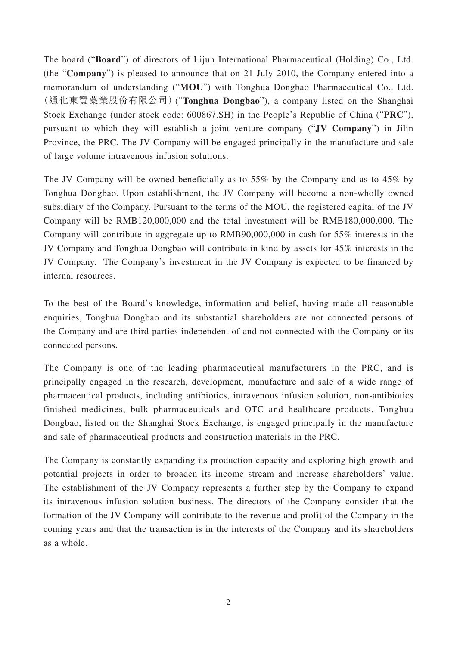The board ("**Board**") of directors of Lijun International Pharmaceutical (Holding) Co., Ltd. (the "**Company**") is pleased to announce that on 21 July 2010, the Company entered into a memorandum of understanding ("**MOU**") with Tonghua Dongbao Pharmaceutical Co., Ltd. (通化東寶藥業股份有限公司)("**Tonghua Dongbao**"), a company listed on the Shanghai Stock Exchange (under stock code: 600867.SH) in the People's Republic of China ("**PRC**"), pursuant to which they will establish a joint venture company ("**JV Company**") in Jilin Province, the PRC. The JV Company will be engaged principally in the manufacture and sale of large volume intravenous infusion solutions.

The JV Company will be owned beneficially as to 55% by the Company and as to 45% by Tonghua Dongbao. Upon establishment, the JV Company will become a non-wholly owned subsidiary of the Company. Pursuant to the terms of the MOU, the registered capital of the JV Company will be RMB120,000,000 and the total investment will be RMB180,000,000. The Company will contribute in aggregate up to RMB90,000,000 in cash for 55% interests in the JV Company and Tonghua Dongbao will contribute in kind by assets for 45% interests in the JV Company. The Company's investment in the JV Company is expected to be financed by internal resources.

To the best of the Board's knowledge, information and belief, having made all reasonable enquiries, Tonghua Dongbao and its substantial shareholders are not connected persons of the Company and are third parties independent of and not connected with the Company or its connected persons.

The Company is one of the leading pharmaceutical manufacturers in the PRC, and is principally engaged in the research, development, manufacture and sale of a wide range of pharmaceutical products, including antibiotics, intravenous infusion solution, non-antibiotics finished medicines, bulk pharmaceuticals and OTC and healthcare products. Tonghua Dongbao, listed on the Shanghai Stock Exchange, is engaged principally in the manufacture and sale of pharmaceutical products and construction materials in the PRC.

The Company is constantly expanding its production capacity and exploring high growth and potential projects in order to broaden its income stream and increase shareholders' value. The establishment of the JV Company represents a further step by the Company to expand its intravenous infusion solution business. The directors of the Company consider that the formation of the JV Company will contribute to the revenue and profit of the Company in the coming years and that the transaction is in the interests of the Company and its shareholders as a whole.